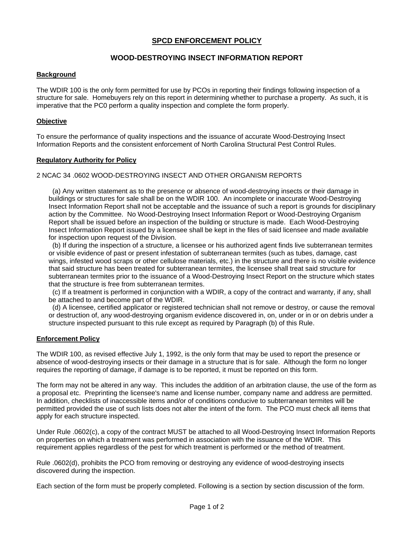# **SPCD ENFORCEMENT POLICY**

# **WOOD-DESTROYING INSECT INFORMATION REPORT**

## **Background**

The WDIR 100 is the only form permitted for use by PCOs in reporting their findings following inspection of a structure for sale. Homebuyers rely on this report in determining whether to purchase a property. As such, it is imperative that the PC0 perform a quality inspection and complete the form properly.

## **Objective**

To ensure the performance of quality inspections and the issuance of accurate Wood-Destroying Insect Information Reports and the consistent enforcement of North Carolina Structural Pest Control Rules.

#### **Regulatory Authority for Policy**

### 2 NCAC 34 .0602 WOOD-DESTROYING INSECT AND OTHER ORGANISM REPORTS

 (a) Any written statement as to the presence or absence of wood-destroying insects or their damage in buildings or structures for sale shall be on the WDIR 100. An incomplete or inaccurate Wood-Destroying Insect Information Report shall not be acceptable and the issuance of such a report is grounds for disciplinary action by the Committee. No Wood-Destroying Insect Information Report or Wood-Destroying Organism Report shall be issued before an inspection of the building or structure is made. Each Wood-Destroying Insect Information Report issued by a licensee shall be kept in the files of said licensee and made available for inspection upon request of the Division.

 (b) If during the inspection of a structure, a licensee or his authorized agent finds live subterranean termites or visible evidence of past or present infestation of subterranean termites (such as tubes, damage, cast wings, infested wood scraps or other cellulose materials, etc.) in the structure and there is no visible evidence that said structure has been treated for subterranean termites, the licensee shall treat said structure for subterranean termites prior to the issuance of a Wood-Destroying Insect Report on the structure which states that the structure is free from subterranean termites.

 (c) If a treatment is performed in conjunction with a WDIR, a copy of the contract and warranty, if any, shall be attached to and become part of the WDIR.

 (d) A licensee, certified applicator or registered technician shall not remove or destroy, or cause the removal or destruction of, any wood-destroying organism evidence discovered in, on, under or in or on debris under a structure inspected pursuant to this rule except as required by Paragraph (b) of this Rule.

#### **Enforcement Policy**

The WDIR 100, as revised effective July 1, 1992, is the only form that may be used to report the presence or absence of wood-destroying insects or their damage in a structure that is for sale. Although the form no longer requires the reporting of damage, if damage is to be reported, it must be reported on this form.

The form may not be altered in any way. This includes the addition of an arbitration clause, the use of the form as a proposal etc. Preprinting the licensee's name and license number, company name and address are permitted. In addition, checklists of inaccessible items and/or of conditions conducive to subterranean termites will be permitted provided the use of such lists does not alter the intent of the form. The PCO must check all items that apply for each structure inspected.

Under Rule .0602(c), a copy of the contract MUST be attached to all Wood-Destroying Insect Information Reports on properties on which a treatment was performed in association with the issuance of the WDIR. This requirement applies regardless of the pest for which treatment is performed or the method of treatment.

Rule .0602(d), prohibits the PCO from removing or destroying any evidence of wood-destroying insects discovered during the inspection.

Each section of the form must be properly completed. Following is a section by section discussion of the form.